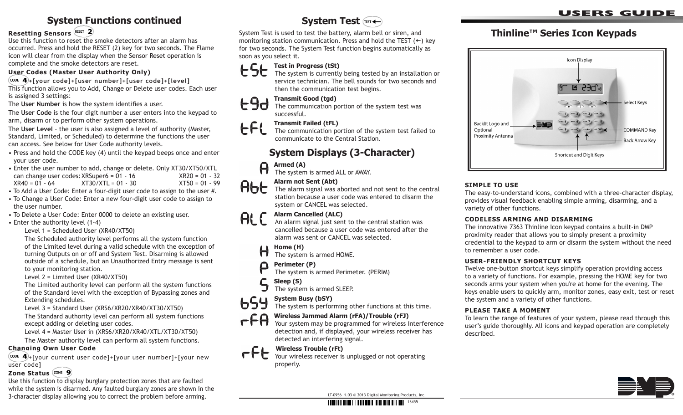## **System Functions continued**

### **Resetting Sensors**

Use this function to reset the smoke detectors after an alarm has occurred. Press and hold the RESET (2) key for two seconds. The Flame icon will clear from the display when the Sensor Reset operation is complete and the smoke detectors are reset.

#### **User Codes (Master User Authority Only)**

**+[your code]+[user number]+[user code]+[level]**

This function allows you to Add, Change or Delete user codes. Each user is assigned 3 settings:

The **User Number** is how the system identifies a user.

The **User Code** is the four digit number a user enters into the keypad to arm, disarm or to perform other system operations.

The **User Level** - the user is also assigned a level of authority (Master, Standard, Limited, or Scheduled) to determine the functions the user can access. See below for User Code authority levels.

- Press and hold the CODE key (4) until the keypad beeps once and enter your user code.
- Enter the user number to add, change or delete. Only XT30/XT50/XTL can change user codes: XRSuper6 =  $01 - 16$ <br> $XR40 = 01 - 64$ <br> $XT30/XTL = 01 - 30$ <br> $XT50 = 01 - 99$  $XR40 = 01 - 64$   $XT30/XTL = 01 - 30$
- To Add a User Code: Enter a four-digit user code to assign to the user #.
- To Change a User Code: Enter a new four-digit user code to assign to the user number.
- To Delete a User Code: Enter 0000 to delete an existing user.
- Enter the authority level (1-4)

Level 1 = Scheduled User (XR40/XT50)

The Scheduled authority level performs all the system function of the Limited level during a valid schedule with the exception of turning Outputs on or off and System Test. Disarming is allowed outside of a schedule, but an Unauthorized Entry message is sent to your monitoring station.

Level 2 = Limited User (XR40/XT50)

The Limited authority level can perform all the system functions of the Standard level with the exception of Bypassing zones and Extending schedules.

Level 3 = Standard User (XRS6/XR20/XR40/XT30/XT50)

The Standard authority level can perform all system functions except adding or deleting user codes.

Level 4 = Master User in (XRS6/XR20/XR40/XTL/XT30/XT50)

The Master authority level can perform all system functions.

#### **Changing Own User Code**

 $(\cos \ 4)$ +[your current user code]+[your user number]+[your new user code]

#### **Zone Status**

Use this function to display burglary protection zones that are faulted while the system is disarmed. Any faulted burglary zones are shown in the 3-character display allowing you to correct the problem before arming.

## **System Test**

System Test is used to test the battery, alarm bell or siren, and monitoring station communication. Press and hold the TEST  $(+)$  key for two seconds. The System Test function begins automatically as soon as you select it.

### **C** L Test in Progress (tSt)



The system is currently being tested by an installation or service technician. The bell sounds for two seconds and then the communication test begins.

# **190** Transmit Good (tgd)<br>The communication po

The communication portion of the system test was successful.

#### **Transmit Failed (tFL)** 661

The communication portion of the system test failed to communicate to the Central Station.

## **System Displays (3-Character)**

# **Armed (A)**<br>The system

The system is armed ALL or AWAY.

# **Alarm not Sent (Abt)**<br>The alarm signal was a

The alarm signal was aborted and not sent to the central station because a user code was entered to disarm the system or CANCEL was selected.

# **Alarm Cancelled (ALC)**<br>An alarm signal just sem

An alarm signal just sent to the central station was cancelled because a user code was entered after the alarm was sent or CANCEL was selected.

#### **Home (H)**  $\bigoplus$

The system is armed HOME.

#### **Perimeter (P)**  $\Box$

The system is armed Perimeter. (PERIM)

#### C  **Sleep (S)**

The system is armed SLEEP.

#### 659 **System Busy (bSY)**

The system is performing other functions at this time.

## **COMPTANA Wireless Jammed Alarm (rFA)/Trouble (rFJ)**<br>Your system may be programmed for wireless in

Your system may be programmed for wireless interference detection and, if displayed, your wireless receiver has detected an interfering signal.

## **PEL** Wireless Trouble (rFt)

Your wireless receiver is unplugged or not operating properly.

### **users guide**

## **Thinline™ Series Icon Keypads**



#### **SIMPLE TO USE**

The easy-to-understand icons, combined with a three-character display, provides visual feedback enabling simple arming, disarming, and a variety of other functions.

#### **CODELESS ARMING AND DISARMING**

The innovative 7363 Thinline Icon keypad contains a built-in DMP proximity reader that allows you to simply present a proximity credential to the keypad to arm or disarm the system without the need to remember a user code.

#### **User-friendly Shortcut Keys**

Twelve one-button shortcut keys simplify operation providing access to a variety of functions. For example, pressing the HOME key for two seconds arms your system when you're at home for the evening. The keys enable users to quickly arm, monitor zones, easy exit, test or reset the system and a variety of other functions.

#### **Please Take a Moment**

To learn the range of features of your system, please read through this user's guide thoroughly. All icons and keypad operation are completely described.



LT-0956 1.03 © 2013 Digital Monitoring Products, Inc.